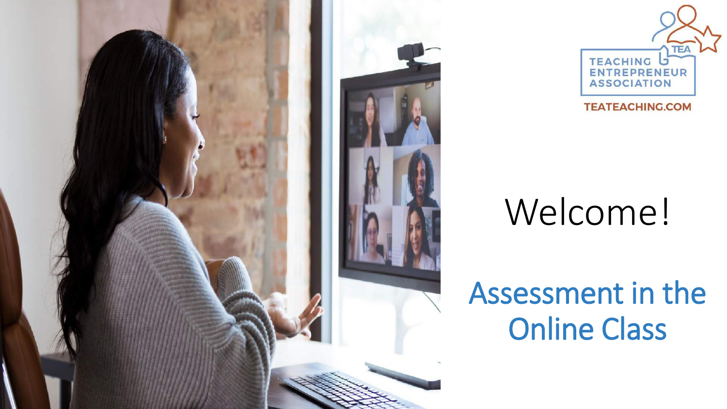



#### Welcome!

#### Assessment in the Online Class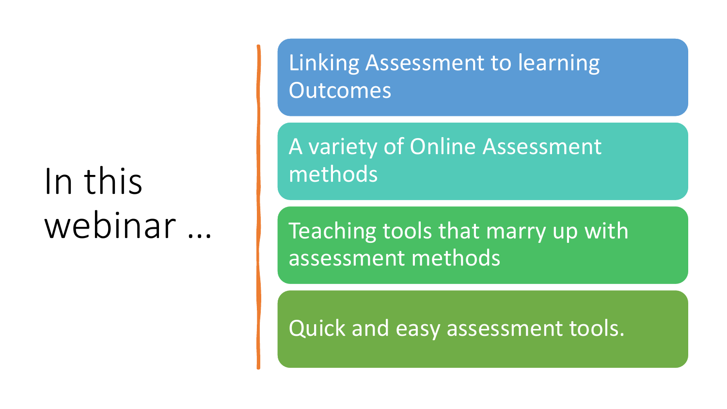#### In this webinar …

Linking Assessment to learning **Outcomes** 

A variety of Online Assessment methods

Teaching tools that marry up with assessment methods

Quick and easy assessment tools.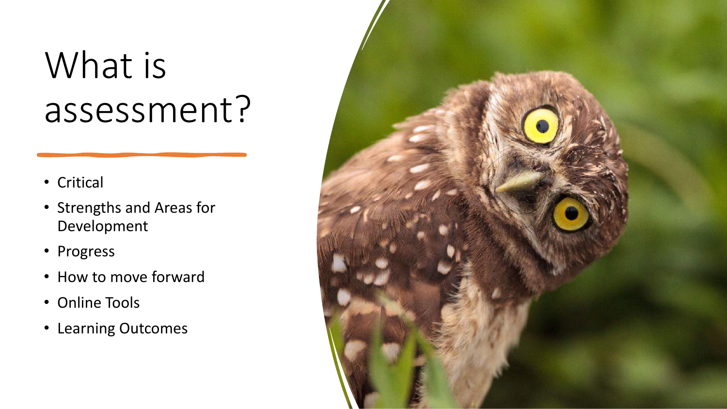#### What is assessment?

- Critical
- Strengths and Areas for Development
- Progress
- How to move forward
- Online Tools
- Learning Outcomes

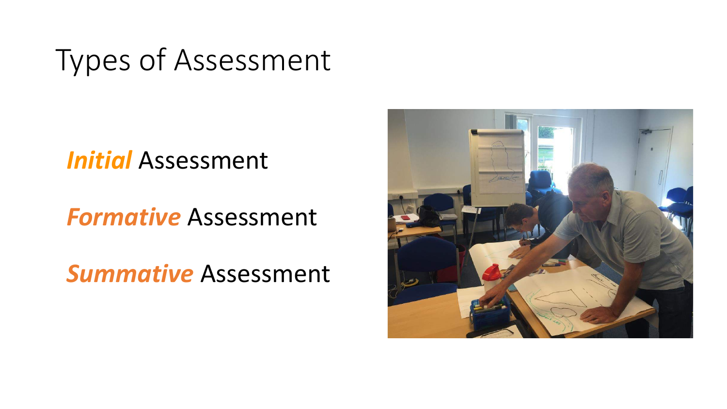#### Types of Assessment

#### *Initial* Assessment

#### *Formative* Assessment

*Summative* Assessment

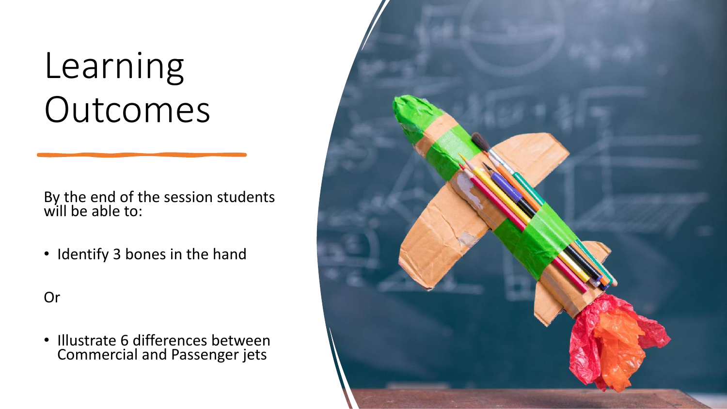### Learning Outcomes

By the end of the session students will be able to:

• Identify 3 bones in the hand

Or

• Illustrate 6 differences between Commercial and Passenger jets

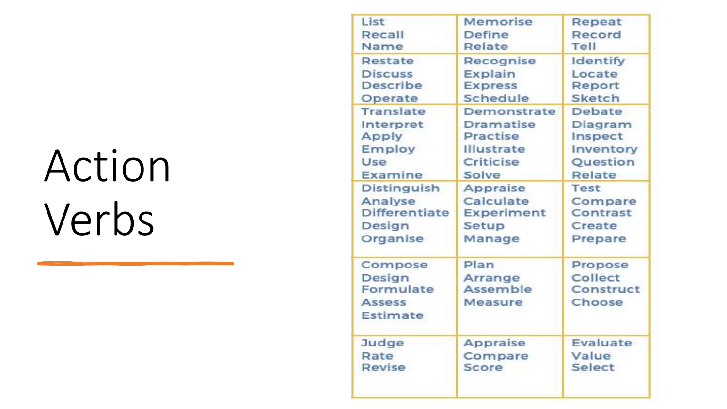## Action Verbs

| List                                                        | Memorise                               | Repeat                                    |
|-------------------------------------------------------------|----------------------------------------|-------------------------------------------|
| Recall                                                      | Define                                 | Record                                    |
| Name                                                        | Relate                                 | Tell                                      |
| Restate                                                     | Recognise                              | Identify                                  |
| <b>Discuss</b>                                              | Explain                                | Locate                                    |
| Describe                                                    | <b>Express</b>                         | Report                                    |
| Operate                                                     | Schedule                               | <b>Sketch</b>                             |
| <b>Translate</b>                                            | Demonstrate                            | Debate                                    |
| Interpret                                                   | Dramatise                              | Diagram                                   |
| Apply                                                       | <b>Practise</b>                        | Inspect                                   |
| Employ                                                      | Illustrate                             | Inventory                                 |
| Use                                                         | Criticise                              | Question                                  |
| Examine                                                     | Solve                                  | Relate                                    |
| Distinguish                                                 | <b>Appraise</b>                        | Test                                      |
| Analyse                                                     | Calculate                              | Compare                                   |
| Differentiate                                               | Experiment                             | Contrast                                  |
| Design                                                      | Setup                                  | Create                                    |
| Organise                                                    | Manage                                 | Prepare                                   |
| Compose<br>Design<br>Formulate<br><b>Assess</b><br>Estimate | Plan<br>Arrange<br>Assemble<br>Measure | Propose<br>Collect<br>Construct<br>Choose |
| Judge                                                       | Appraise                               | Evaluate                                  |
| Rate                                                        | Compare                                | Value                                     |
| Revise                                                      | Score                                  | <b>Select</b>                             |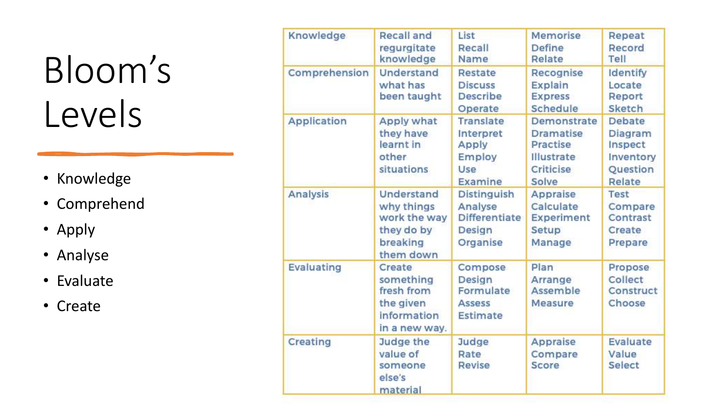## Bloom's Levels

- Knowledge
- Comprehend
- Apply
- Analyse
- Evaluate
- Create

| Knowledge          | <b>Recall and</b><br>requrgitate<br>knowledge                                   | List<br>Recall<br>Name                                               | Memorise<br>Define<br>Relate                                                                  | Repeat<br>Record<br>Tell                                               |
|--------------------|---------------------------------------------------------------------------------|----------------------------------------------------------------------|-----------------------------------------------------------------------------------------------|------------------------------------------------------------------------|
| Comprehension      | <b>Understand</b><br>what has<br>been taught                                    | Restate<br><b>Discuss</b><br><b>Describe</b><br>Operate              | Recognise<br>Explain<br><b>Express</b><br>Schedule                                            | <b>Identify</b><br>Locate<br>Report<br>Sketch                          |
| <b>Application</b> | Apply what<br>they have<br>learnt in<br>other<br>situations                     | <b>Translate</b><br>Interpret<br>Apply<br>Employ<br>Use<br>Examine   | <b>Demonstrate</b><br><b>Dramatise</b><br>Practise<br><b>Illustrate</b><br>Criticise<br>Solve | <b>Debate</b><br>Diagram<br>Inspect<br>Inventory<br>Question<br>Relate |
| Analysis           | Understand<br>why things<br>work the way<br>they do by<br>breaking<br>them down | <b>Distinguish</b><br>Analyse<br>Differentiate<br>Design<br>Organise | Appraise<br>Calculate<br>Experiment<br>Setup<br>Manage                                        | Test<br>Compare<br>Contrast<br>Create<br>Prepare                       |
| Evaluating         | Create<br>something<br>fresh from<br>the given<br>information<br>in a new way.  | Compose<br>Design<br>Formulate<br><b>Assess</b><br>Estimate          | Plan<br>Arrange<br>Assemble<br><b>Measure</b>                                                 | <b>Propose</b><br>Collect<br>Construct<br>Choose                       |
| Creating           | Judge the<br>value of<br>someone<br>else's<br>material                          | Judge<br>Rate<br>Revise                                              | Appraise<br>Compare<br>Score                                                                  | Evaluate<br>Value<br>Select                                            |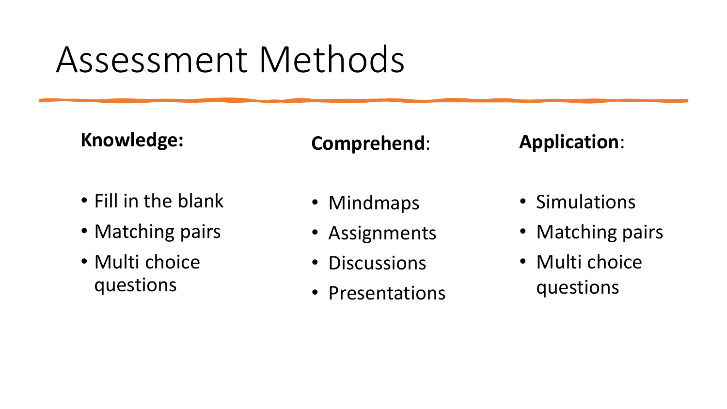#### Assessment Methods

**Knowledge:**

#### **Comprehend**:

#### • Fill in the blank

- Matching pairs
- Multi choice questions
- Mindmaps
- Assignments
- Discussions
- Presentations

• Simulations

**Application**:

- Matching pairs
- Multi choice questions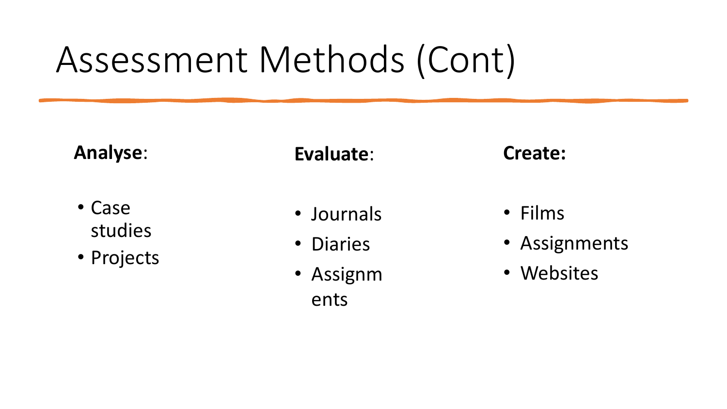#### Assessment Methods (Cont)

**Analyse**:

- Case studies
- Projects

**Evaluate**:

- Journals
- Diaries
- Assignm ents

**Create:**

- Films
- Assignments
- Websites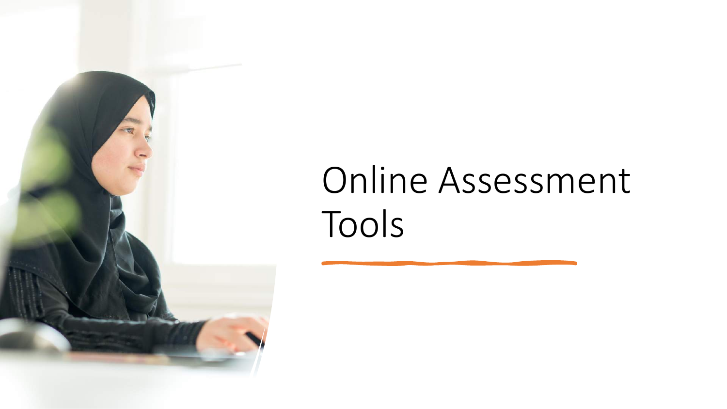

## Online Assessment Tools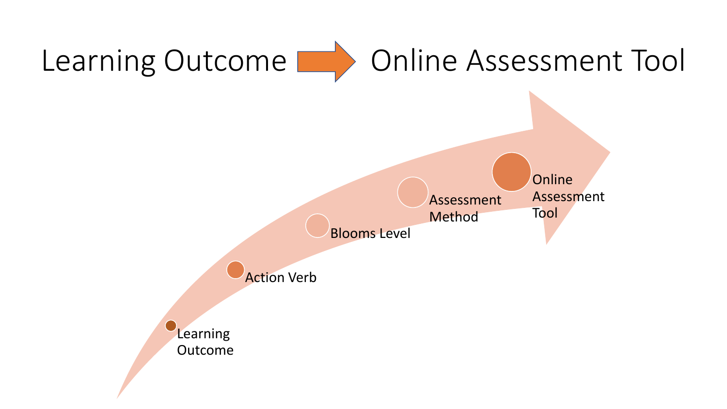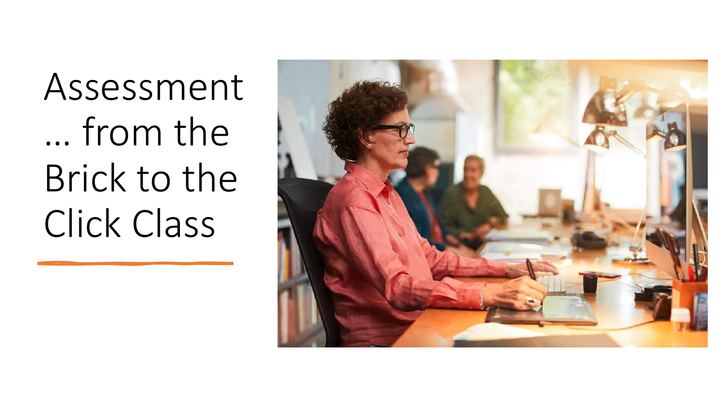Assessment … from the Brick to the Click Class

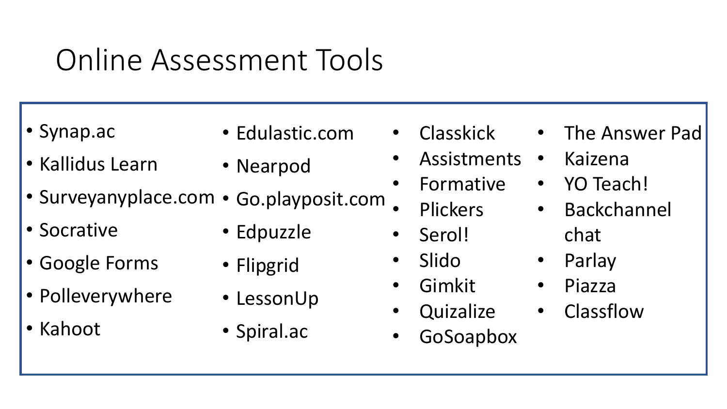#### Online Assessment Tools

• Synap.ac

• Edulastic.com

• Kallidus Learn

- Nearpod
- Surveyanyplace.com Go.playposit.com
- Socrative
- Google Forms
- Polleverywhere
- Kahoot
- Edpuzzle
- Flipgrid
- LessonUp
- Spiral.ac
- Classkick
- **Assistments**
- Formative
	- Plickers
- Serol!
- Slido
	- Gimkit
- **Quizalize**
- GoSoapbox
- The Answer Pad
- Kaizena
- YO Teach!
- Backchannel chat
- Parlay
- Piazza
- Classflow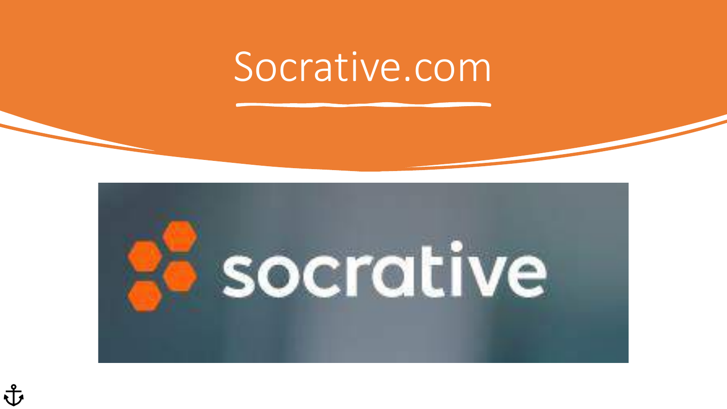#### Socrative.com

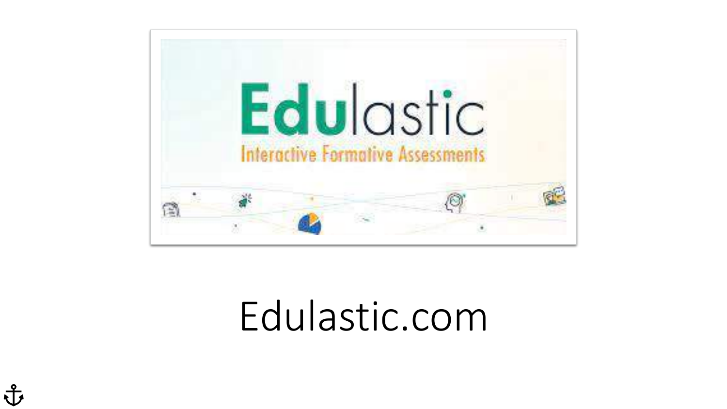

#### Edulastic.com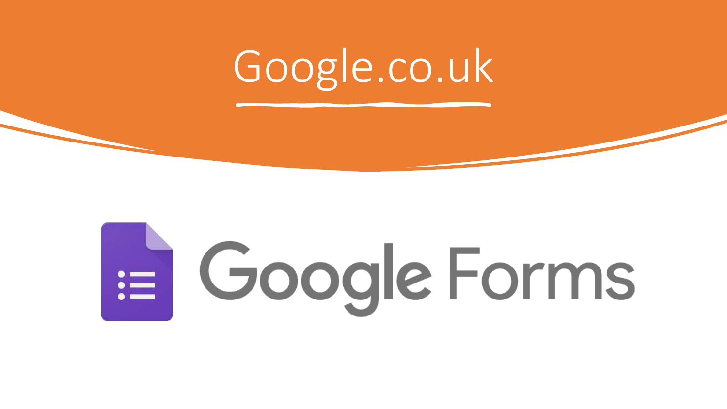## Google.co.uk

# E Google Forms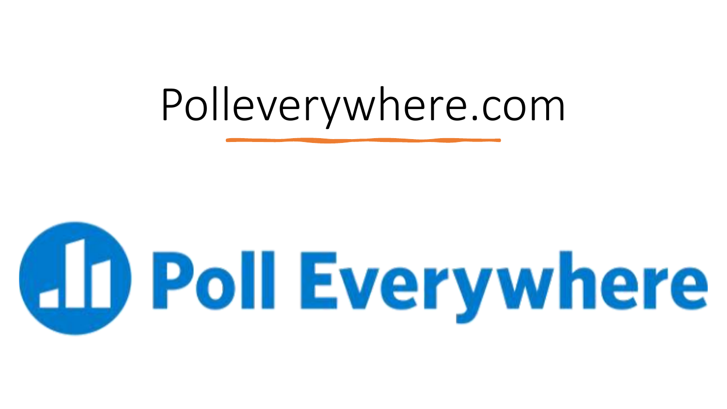## Polleverywhere.com

# **ED Poll Everywhere**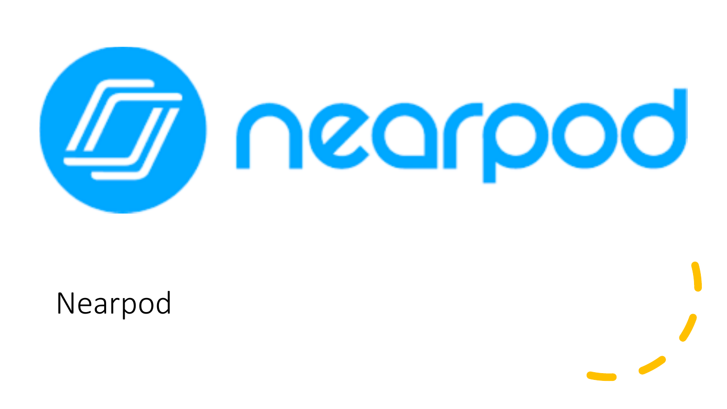

Nearpod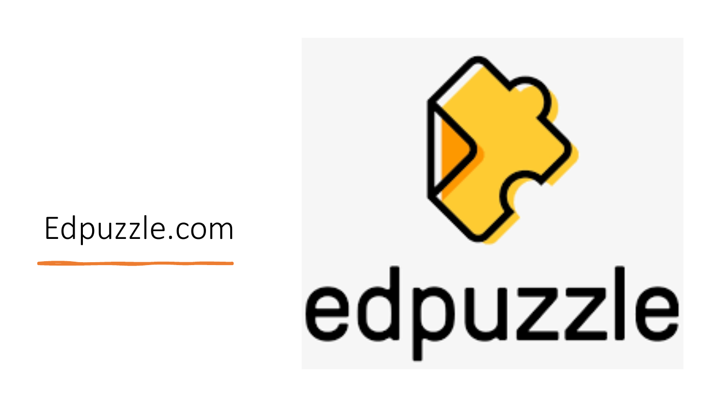#### Edpuzzle.com

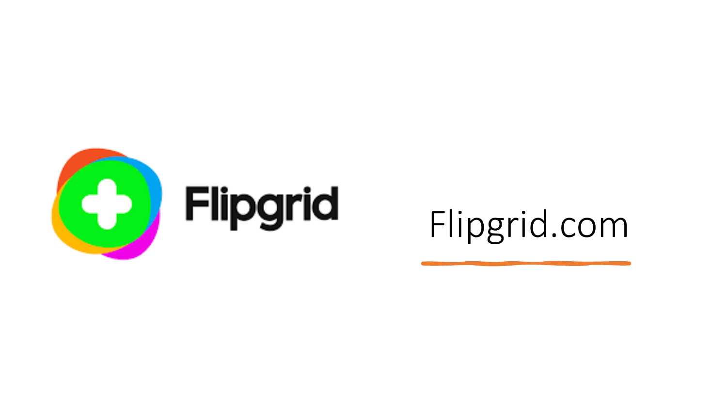

#### Flipgrid.com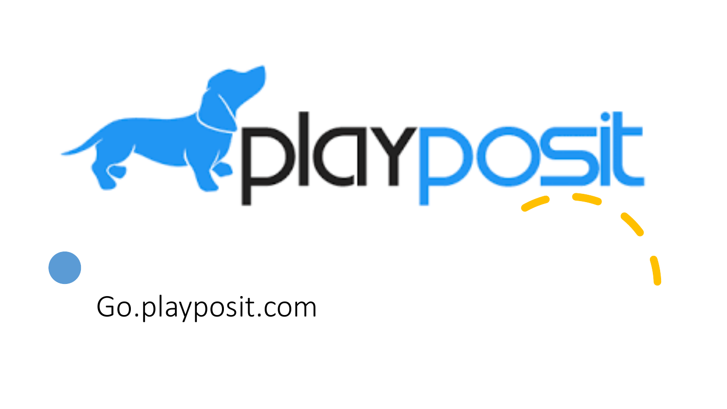

Go.playposit.com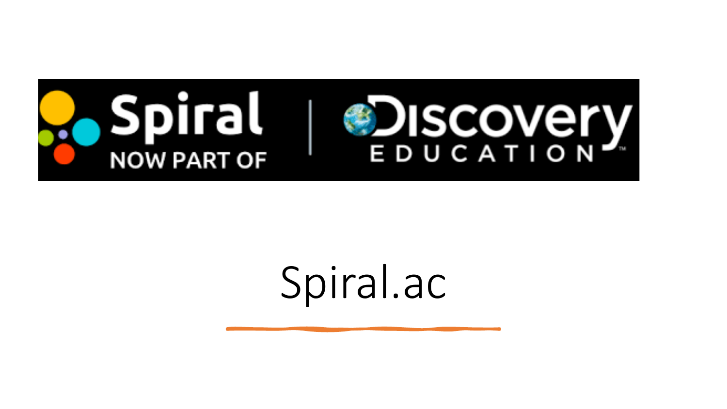

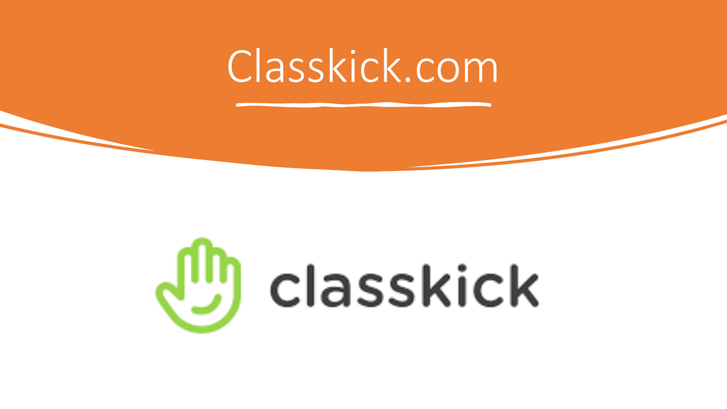## Classkick.com

# (<sup>III</sup>) classkick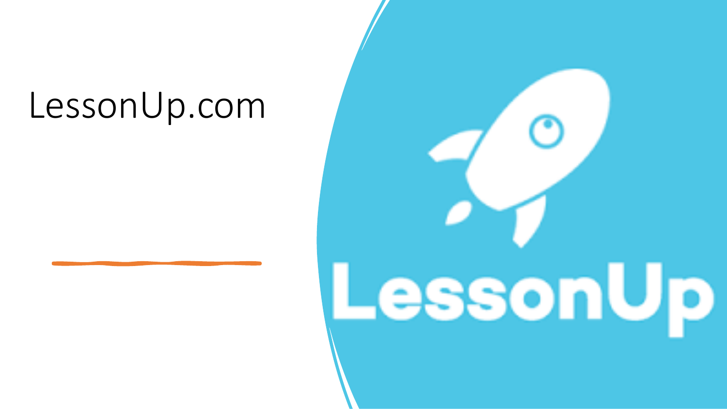#### LessonUp.com

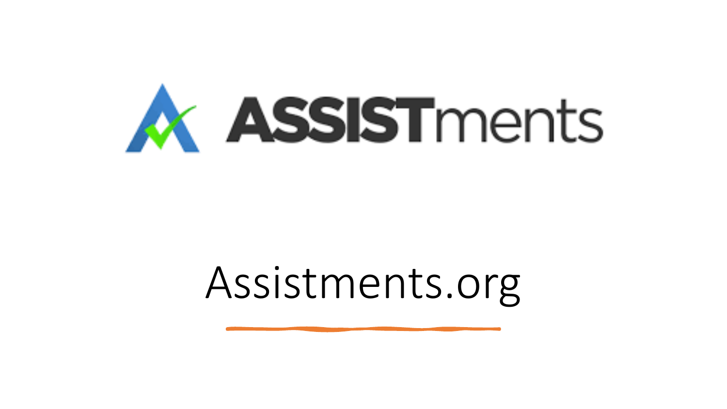

## Assistments.org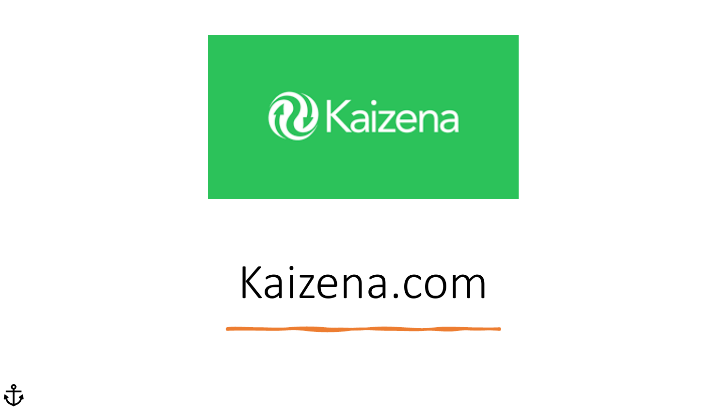

## Kaizena.com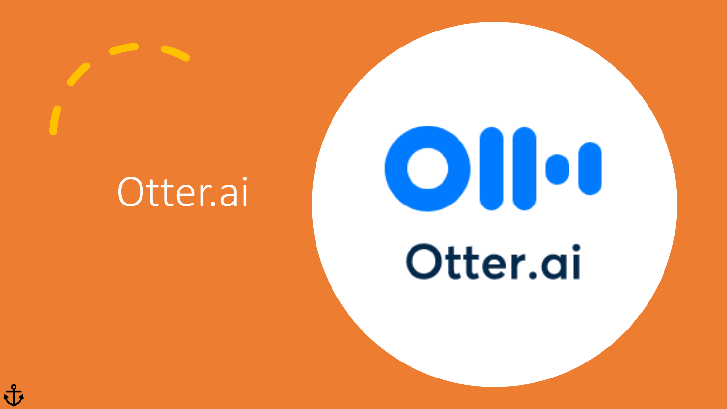#### Otter.ai

子

![](_page_26_Picture_1.jpeg)